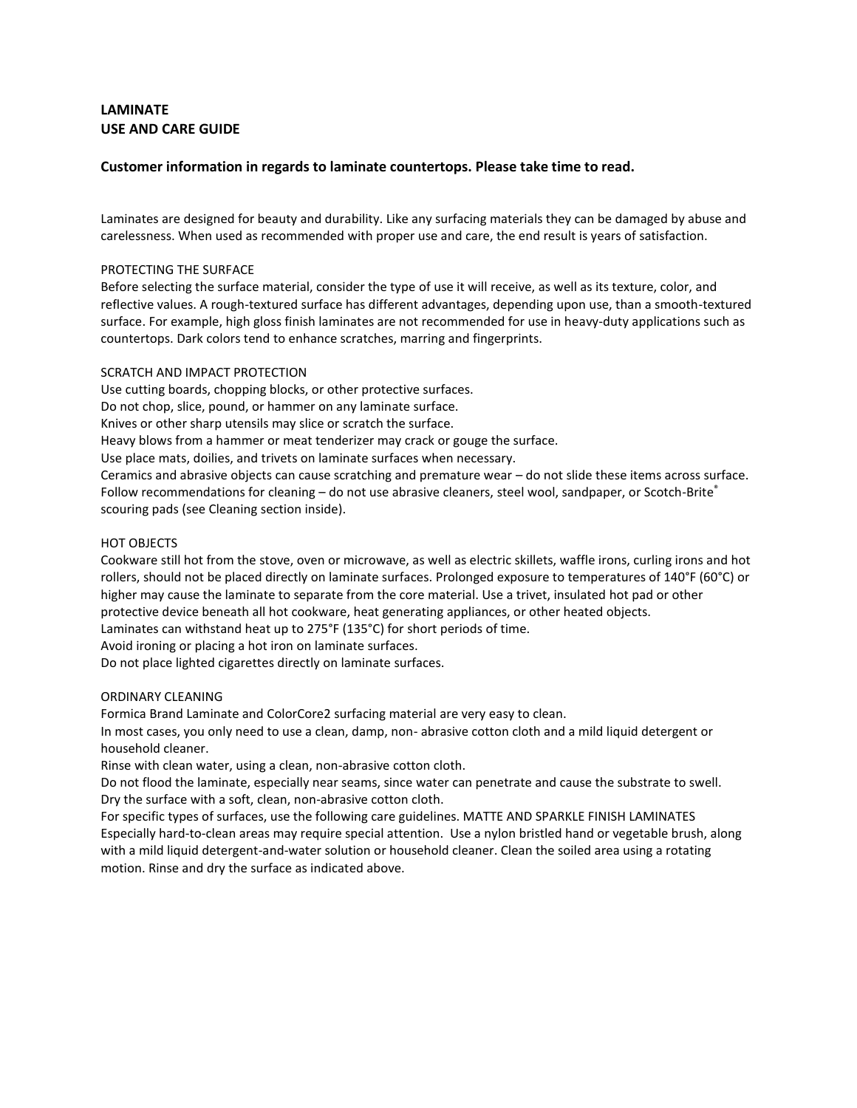# **LAMINATE USE AND CARE GUIDE**

# **Customer information in regards to laminate countertops. Please take time to read.**

Laminates are designed for beauty and durability. Like any surfacing materials they can be damaged by abuse and carelessness. When used as recommended with proper use and care, the end result is years of satisfaction.

## PROTECTING THE SURFACE

Before selecting the surface material, consider the type of use it will receive, as well as its texture, color, and reflective values. A rough-textured surface has different advantages, depending upon use, than a smooth-textured surface. For example, high gloss finish laminates are not recommended for use in heavy-duty applications such as countertops. Dark colors tend to enhance scratches, marring and fingerprints.

# SCRATCH AND IMPACT PROTECTION

Use cutting boards, chopping blocks, or other protective surfaces. Do not chop, slice, pound, or hammer on any laminate surface. Knives or other sharp utensils may slice or scratch the surface. Heavy blows from a hammer or meat tenderizer may crack or gouge the surface.

Use place mats, doilies, and trivets on laminate surfaces when necessary.

Ceramics and abrasive objects can cause scratching and premature wear – do not slide these items across surface. Follow recommendations for cleaning – do not use abrasive cleaners, steel wool, sandpaper, or Scotch-Brite® scouring pads (see Cleaning section inside).

# HOT OBJECTS

Cookware still hot from the stove, oven or microwave, as well as electric skillets, waffle irons, curling irons and hot rollers, should not be placed directly on laminate surfaces. Prolonged exposure to temperatures of 140°F (60°C) or higher may cause the laminate to separate from the core material. Use a trivet, insulated hot pad or other protective device beneath all hot cookware, heat generating appliances, or other heated objects.

Laminates can withstand heat up to 275°F (135°C) for short periods of time.

Avoid ironing or placing a hot iron on laminate surfaces.

Do not place lighted cigarettes directly on laminate surfaces.

# ORDINARY CLEANING

Formica Brand Laminate and ColorCore2 surfacing material are very easy to clean.

In most cases, you only need to use a clean, damp, non- abrasive cotton cloth and a mild liquid detergent or household cleaner.

Rinse with clean water, using a clean, non-abrasive cotton cloth.

Do not flood the laminate, especially near seams, since water can penetrate and cause the substrate to swell. Dry the surface with a soft, clean, non-abrasive cotton cloth.

For specific types of surfaces, use the following care guidelines. MATTE AND SPARKLE FINISH LAMINATES Especially hard-to-clean areas may require special attention. Use a nylon bristled hand or vegetable brush, along with a mild liquid detergent-and-water solution or household cleaner. Clean the soiled area using a rotating motion. Rinse and dry the surface as indicated above.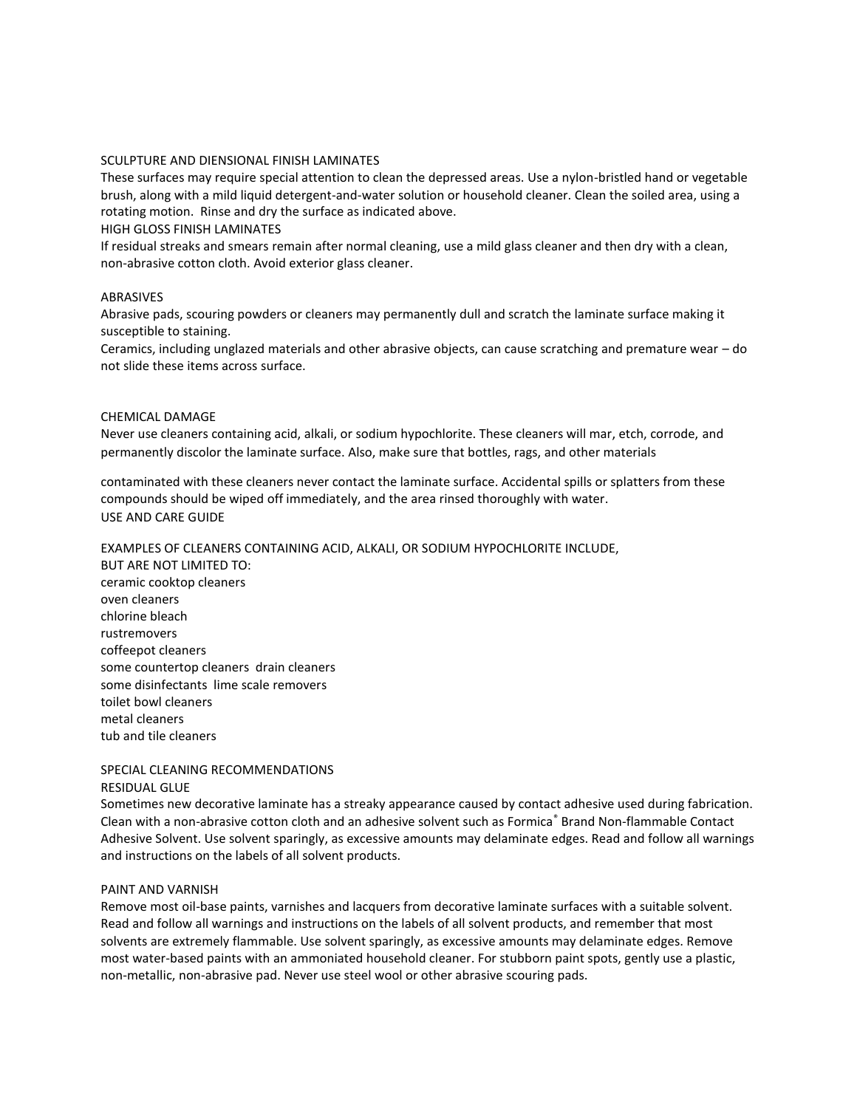# SCULPTURE AND DIENSIONAL FINISH LAMINATES

These surfaces may require special attention to clean the depressed areas. Use a nylon-bristled hand or vegetable brush, along with a mild liquid detergent-and-water solution or household cleaner. Clean the soiled area, using a rotating motion. Rinse and dry the surface as indicated above.

#### HIGH GLOSS FINISH LAMINATES

If residual streaks and smears remain after normal cleaning, use a mild glass cleaner and then dry with a clean, non-abrasive cotton cloth. Avoid exterior glass cleaner.

### ABRASIVES

Abrasive pads, scouring powders or cleaners may permanently dull and scratch the laminate surface making it susceptible to staining.

Ceramics, including unglazed materials and other abrasive objects, can cause scratching and premature wear – do not slide these items across surface.

#### CHEMICAL DAMAGE

Never use cleaners containing acid, alkali, or sodium hypochlorite. These cleaners will mar, etch, corrode, and permanently discolor the laminate surface. Also, make sure that bottles, rags, and other materials

contaminated with these cleaners never contact the laminate surface. Accidental spills or splatters from these compounds should be wiped off immediately, and the area rinsed thoroughly with water. USE AND CARE GUIDE

#### EXAMPLES OF CLEANERS CONTAINING ACID, ALKALI, OR SODIUM HYPOCHLORITE INCLUDE,

BUT ARE NOT LIMITED TO: ceramic cooktop cleaners oven cleaners chlorine bleach rustremovers coffeepot cleaners some countertop cleaners drain cleaners some disinfectants lime scale removers toilet bowl cleaners metal cleaners tub and tile cleaners

### SPECIAL CLEANING RECOMMENDATIONS RESIDUAL GLUE

Sometimes new decorative laminate has a streaky appearance caused by contact adhesive used during fabrication. Clean with a non-abrasive cotton cloth and an adhesive solvent such as Formica® Brand Non-flammable Contact Adhesive Solvent. Use solvent sparingly, as excessive amounts may delaminate edges. Read and follow all warnings and instructions on the labels of all solvent products.

#### PAINT AND VARNISH

Remove most oil-base paints, varnishes and lacquers from decorative laminate surfaces with a suitable solvent. Read and follow all warnings and instructions on the labels of all solvent products, and remember that most solvents are extremely flammable. Use solvent sparingly, as excessive amounts may delaminate edges. Remove most water-based paints with an ammoniated household cleaner. For stubborn paint spots, gently use a plastic, non-metallic, non-abrasive pad. Never use steel wool or other abrasive scouring pads.